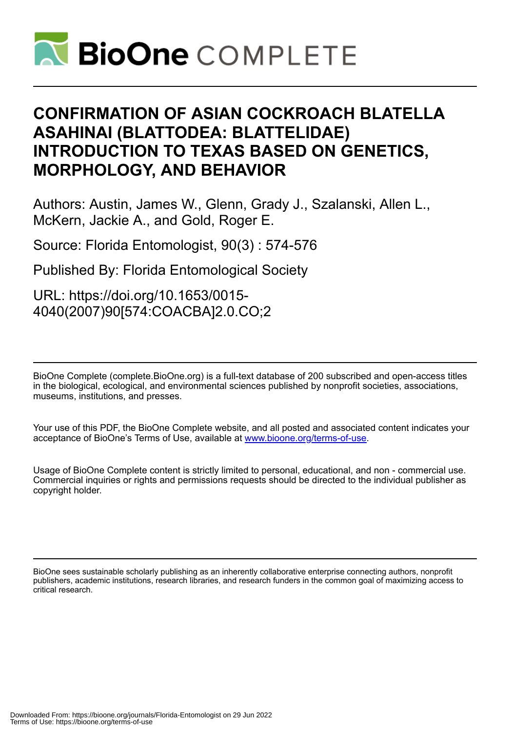

## **CONFIRMATION OF ASIAN COCKROACH BLATELLA ASAHINAI (BLATTODEA: BLATTELIDAE) INTRODUCTION TO TEXAS BASED ON GENETICS, MORPHOLOGY, AND BEHAVIOR**

Authors: Austin, James W., Glenn, Grady J., Szalanski, Allen L., McKern, Jackie A., and Gold, Roger E.

Source: Florida Entomologist, 90(3) : 574-576

Published By: Florida Entomological Society

URL: https://doi.org/10.1653/0015- 4040(2007)90[574:COACBA]2.0.CO;2

BioOne Complete (complete.BioOne.org) is a full-text database of 200 subscribed and open-access titles in the biological, ecological, and environmental sciences published by nonprofit societies, associations, museums, institutions, and presses.

Your use of this PDF, the BioOne Complete website, and all posted and associated content indicates your acceptance of BioOne's Terms of Use, available at www.bioone.org/terms-of-use.

Usage of BioOne Complete content is strictly limited to personal, educational, and non - commercial use. Commercial inquiries or rights and permissions requests should be directed to the individual publisher as copyright holder.

BioOne sees sustainable scholarly publishing as an inherently collaborative enterprise connecting authors, nonprofit publishers, academic institutions, research libraries, and research funders in the common goal of maximizing access to critical research.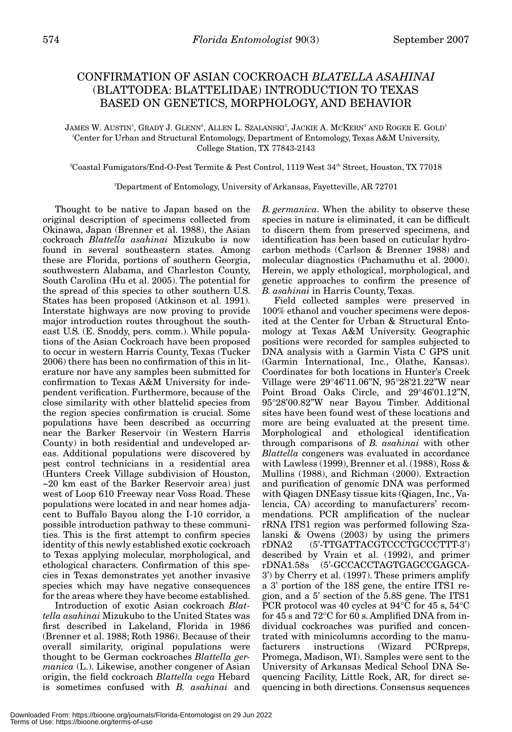## CONFIRMATION OF ASIAN COCKROACH *BLATELLA ASAHINAI* (BLATTODEA: BLATTELIDAE) INTRODUCTION TO TEXAS BASED ON GENETICS, MORPHOLOGY, AND BEHAVIOR

JAMES W. AUSTIN', GRADY J. GLENN?, ALLEN L. SZALANSKI3, JACKIE A. MCKERN3 AND ROGER E. GOLD<sup>1</sup> 1 Center for Urban and Structural Entomology, Department of Entomology, Texas A&M University, College Station, TX 77843-2143

2 Coastal Fumigators/End-O-Pest Termite & Pest Control, 1119 West 34th Street, Houston, TX 77018

3 Department of Entomology, University of Arkansas, Fayetteville, AR 72701

Thought to be native to Japan based on the original description of specimens collected from Okinawa, Japan (Brenner et al. 1988), the Asian cockroach *Blattella asahinai* Mizukubo is now found in several southeastern states. Among these are Florida, portions of southern Georgia, southwestern Alabama, and Charleston County, South Carolina (Hu et al. 2005). The potential for the spread of this species to other southern U.S. States has been proposed (Atkinson et al. 1991). Interstate highways are now proving to provide major introduction routes throughout the southeast U.S. (E. Snoddy, pers. comm.). While populations of the Asian Cockroach have been proposed to occur in western Harris County, Texas (Tucker 2006) there has been no confirmation of this in literature nor have any samples been submitted for confirmation to Texas A&M University for independent verification. Furthermore, because of the close similarity with other blattelid species from the region species confirmation is crucial. Some populations have been described as occurring near the Barker Reservoir (in Western Harris County) in both residential and undeveloped areas. Additional populations were discovered by pest control technicians in a residential area (Hunters Creek Village subdivision of Houston, ~20 km east of the Barker Reservoir area) just west of Loop 610 Freeway near Voss Road. These populations were located in and near homes adjacent to Buffalo Bayou along the I-10 corridor, a possible introduction pathway to these communities. This is the first attempt to confirm species identity of this newly established exotic cockroach to Texas applying molecular, morphological, and ethological characters. Confirmation of this species in Texas demonstrates yet another invasive species which may have negative consequences for the areas where they have become established.

Introduction of exotic Asian cockroach *Blattella asahinai* Mizukubo to the United States was first described in Lakeland, Florida in 1986 (Brenner et al. 1988; Roth 1986). Because of their overall similarity, original populations were thought to be German cockroaches *Blattella germanica* (L.). Likewise, another congener of Asian origin, the field cockroach *Blattella vega* Hebard is sometimes confused with *B. asahinai* and

*B. germanica*. When the ability to observe these species in nature is eliminated, it can be difficult to discern them from preserved specimens, and identification has been based on cuticular hydrocarbon methods (Carlson & Brenner 1988) and molecular diagnostics (Pachamuthu et al. 2000). Herein, we apply ethological, morphological, and genetic approaches to confirm the presence of *B. asahinai* in Harris County, Texas.

Field collected samples were preserved in 100% ethanol and voucher specimens were deposited at the Center for Urban & Structural Entomology at Texas A&M University. Geographic positions were recorded for samples subjected to DNA analysis with a Garmin Vista C GPS unit (Garmin International, Inc., Olathe, Kansas). Coordinates for both locations in Hunter's Creek Village were 29°46'11.06"N, 95°28'21.22"W near Point Broad Oaks Circle, and 29°46'01.12"N, 95°28'00.82"W near Bayou Timber. Additional sites have been found west of these locations and more are being evaluated at the present time. Morphological and ethological identification through comparisons of *B. asahinai* with other *Blattella* congeners was evaluated in accordance with Lawless (1999), Brenner et al. (1988), Ross & Mullins (1988), and Richman (2000). Extraction and purification of genomic DNA was performed with Qiagen DNEasy tissue kits (Qiagen, Inc., Valencia, CA) according to manufacturers' recommendations. PCR amplification of the nuclear rRNA ITS1 region was performed following Szalanski & Owens (2003) by using the primers rDNA2 (5'-TTGATTACGTCCCTGCCCTTT-3') described by Vrain et al. (1992), and primer rDNA1.58s (5'-GCCACCTAGTGAGCCGAGCA-3') by Cherry et al. (1997). These primers amplify a 3' portion of the 18S gene, the entire ITS1 region, and a 5' section of the 5.8S gene. The ITS1 PCR protocol was 40 cycles at 94°C for 45 s, 54°C for 45 s and 72°C for 60 s. Amplified DNA from individual cockroaches was purified and concentrated with minicolumns according to the manufacturers instructions (Wizard PCRpreps, Promega, Madison, WI). Samples were sent to the University of Arkansas Medical School DNA Sequencing Facility, Little Rock, AR, for direct sequencing in both directions. Consensus sequences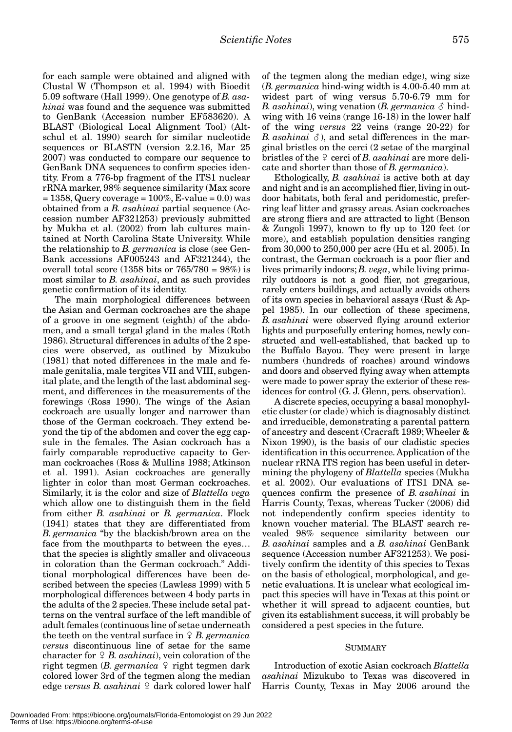for each sample were obtained and aligned with Clustal W (Thompson et al. 1994) with Bioedit 5.09 software (Hall 1999). One genotype of *B. asahinai* was found and the sequence was submitted to GenBank (Accession number EF583620). A BLAST (Biological Local Alignment Tool) (Altschul et al. 1990) search for similar nucleotide sequences or BLASTN (version 2.2.16, Mar 25 2007) was conducted to compare our sequence to GenBank DNA sequences to confirm species identity. From a 776-bp fragment of the ITS1 nuclear rRNA marker, 98% sequence similarity (Max score  $= 1358$ , Query coverage  $= 100\%$ , E-value  $= 0.0$ ) was obtained from a *B. asahinai* partial sequence (Accession number AF321253) previously submitted by Mukha et al. (2002) from lab cultures maintained at North Carolina State University. While the relationship to *B. germanica* is close (see Gen-Bank accessions AF005243 and AF321244), the overall total score (1358 bits or  $765/780 = 98\%)$  is most similar to *B. asahinai*, and as such provides genetic confirmation of its identity.

The main morphological differences between the Asian and German cockroaches are the shape of a groove in one segment (eighth) of the abdomen, and a small tergal gland in the males (Roth 1986). Structural differences in adults of the 2 species were observed, as outlined by Mizukubo (1981) that noted differences in the male and female genitalia, male tergites VII and VIII, subgenital plate, and the length of the last abdominal segment, and differences in the measurements of the forewings (Ross 1990). The wings of the Asian cockroach are usually longer and narrower than those of the German cockroach. They extend beyond the tip of the abdomen and cover the egg capsule in the females. The Asian cockroach has a fairly comparable reproductive capacity to German cockroaches (Ross & Mullins 1988; Atkinson et al. 1991). Asian cockroaches are generally lighter in color than most German cockroaches. Similarly, it is the color and size of *Blattella vega* which allow one to distinguish them in the field from either *B. asahinai* or *B. germanica*. Flock (1941) states that they are differentiated from *B. germanica* "by the blackish/brown area on the face from the mouthparts to between the eyes… that the species is slightly smaller and olivaceous in coloration than the German cockroach." Additional morphological differences have been described between the species (Lawless 1999) with 5 morphological differences between 4 body parts in the adults of the 2 species. These include setal patterns on the ventral surface of the left mandible of adult females (continuous line of setae underneath the teeth on the ventral surface in  $\varphi$  *B. germanica versus* discontinuous line of setae for the same character for *B. asahinai*), vein coloration of the right tegmen (*B. germanica*  $\varphi$  right tegmen dark colored lower 3rd of the tegmen along the median edge *versus B. asahinai*  $\Omega$  dark colored lower half of the tegmen along the median edge), wing size (*B. germanica* hind-wing width is 4.00-5.40 mm at widest part of wing versus 5.70-6.79 mm for *B. asahinai*), wing venation (*B. germanica*  $\delta$  hindwing with 16 veins (range 16-18) in the lower half of the wing *versus* 22 veins (range 20-22) for *B. asahinai*  $\delta$ ), and setal differences in the marginal bristles on the cerci (2 setae of the marginal bristles of the  $\varphi$  cerci of *B. asahinai* are more delicate and shorter than those of *B. germanica*).

Ethologically, *B. asahinai* is active both at day and night and is an accomplished flier, living in outdoor habitats, both feral and peridomestic, preferring leaf litter and grassy areas. Asian cockroaches are strong fliers and are attracted to light (Benson & Zungoli 1997), known to fly up to 120 feet (or more), and establish population densities ranging from 30,000 to 250,000 per acre (Hu et al. 2005). In contrast, the German cockroach is a poor flier and lives primarily indoors; *B. vega*, while living primarily outdoors is not a good flier, not gregarious, rarely enters buildings, and actually avoids others of its own species in behavioral assays (Rust & Appel 1985). In our collection of these specimens, *B. asahinai* were observed flying around exterior lights and purposefully entering homes, newly constructed and well-established, that backed up to the Buffalo Bayou. They were present in large numbers (hundreds of roaches) around windows and doors and observed flying away when attempts were made to power spray the exterior of these residences for control (G. J. Glenn, pers. observation).

A discrete species, occupying a basal monophyletic cluster (or clade) which is diagnosably distinct and irreducible, demonstrating a parental pattern of ancestry and descent (Cracraft 1989; Wheeler & Nixon 1990), is the basis of our cladistic species identification in this occurrence. Application of the nuclear rRNA ITS region has been useful in determining the phylogeny of *Blattella* species (Mukha et al. 2002). Our evaluations of ITS1 DNA sequences confirm the presence of *B. asahinai* in Harris County, Texas, whereas Tucker (2006) did not independently confirm species identity to known voucher material. The BLAST search revealed 98% sequence similarity between our *B. asahinai* samples and a *B. asahinai* GenBank sequence (Accession number AF321253). We positively confirm the identity of this species to Texas on the basis of ethological, morphological, and genetic evaluations. It is unclear what ecological impact this species will have in Texas at this point or whether it will spread to adjacent counties, but given its establishment success, it will probably be considered a pest species in the future.

## **SUMMARY**

Introduction of exotic Asian cockroach *Blattella asahinai* Mizukubo to Texas was discovered in Harris County, Texas in May 2006 around the